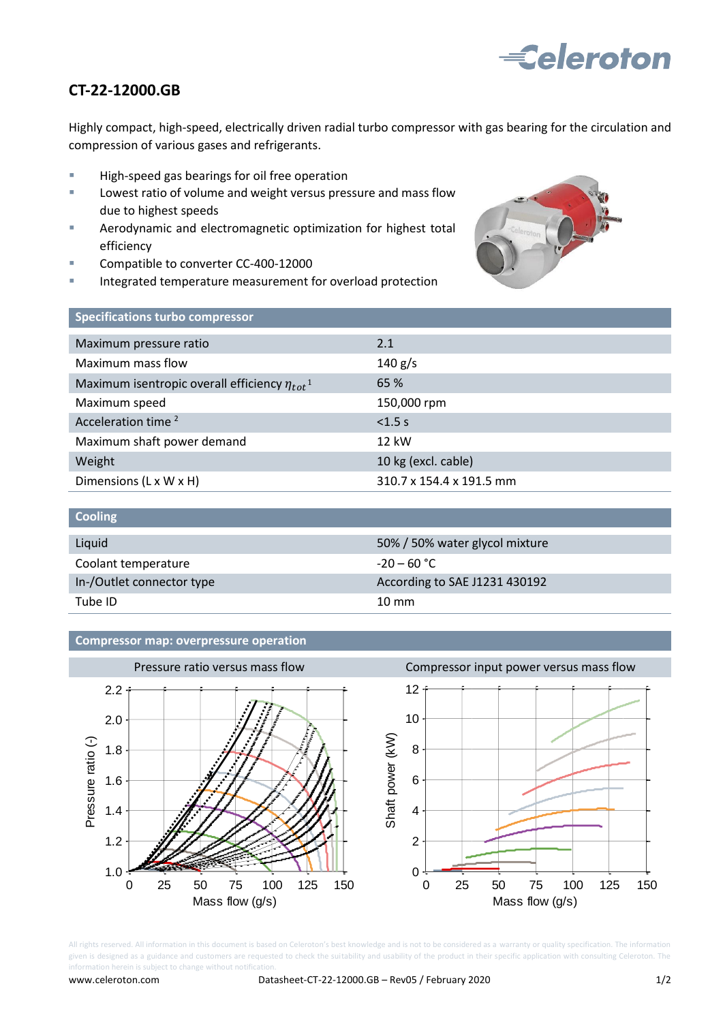

## **CT-22-12000.GB**

Highly compact, high-speed, electrically driven radial turbo compressor with gas bearing for the circulation and compression of various gases and refrigerants.

- **High-speed gas bearings for oil free operation**
- **Lowest ratio of volume and weight versus pressure and mass flow** due to highest speeds
- Aerodynamic and electromagnetic optimization for highest total efficiency
- Compatible to converter CC-400-12000
- Integrated temperature measurement for overload protection



| <b>Specifications turbo compressor</b>                          |                          |
|-----------------------------------------------------------------|--------------------------|
| Maximum pressure ratio                                          | 2.1                      |
| Maximum mass flow                                               | 140 g/s                  |
| Maximum isentropic overall efficiency $\eta_{tot}$ <sup>1</sup> | 65 %                     |
| Maximum speed                                                   | 150,000 rpm              |
| Acceleration time <sup>2</sup>                                  | $< 1.5$ s                |
| Maximum shaft power demand                                      | 12 kW                    |
| Weight                                                          | 10 kg (excl. cable)      |
| Dimensions (L x W x H)                                          | 310.7 x 154.4 x 191.5 mm |

| <b>Cooling</b>            |                                |
|---------------------------|--------------------------------|
| Liquid                    | 50% / 50% water glycol mixture |
| Coolant temperature       | $-20 - 60$ °C                  |
| In-/Outlet connector type | According to SAE J1231 430192  |
| Tube ID                   | $10 \text{ mm}$                |

## **Compressor map: overpressure operation**



All rights reserved. All information in this document is based on Celeroton's best knowledge and is not to be considered as a warranty or quality specification. The information given is designed as a guidance and customers are requested to check the suitability and usability of the product in their specific application with consulting Celeroton. The information herein is subject to change without notification.